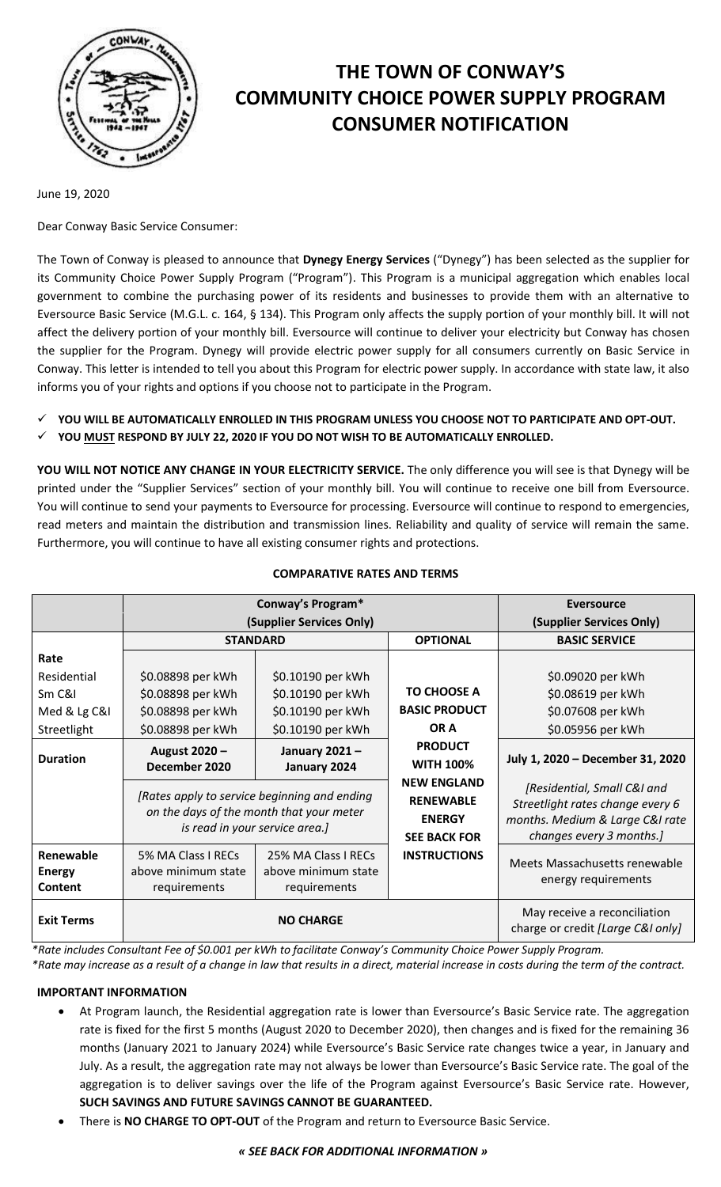

# **THE TOWN OF CONWAY'S COMMUNITY CHOICE POWER SUPPLY PROGRAM CONSUMER NOTIFICATION**

June 19, 2020

Dear Conway Basic Service Consumer:

The Town of Conway is pleased to announce that **Dynegy Energy Services** ("Dynegy") has been selected as the supplier for its Community Choice Power Supply Program ("Program"). This Program is a municipal aggregation which enables local government to combine the purchasing power of its residents and businesses to provide them with an alternative to Eversource Basic Service (M.G.L. c. 164, § 134). This Program only affects the supply portion of your monthly bill. It will not affect the delivery portion of your monthly bill. Eversource will continue to deliver your electricity but Conway has chosen the supplier for the Program. Dynegy will provide electric power supply for all consumers currently on Basic Service in Conway. This letter is intended to tell you about this Program for electric power supply. In accordance with state law, it also informs you of your rights and options if you choose not to participate in the Program.

- **YOU WILL BE AUTOMATICALLY ENROLLED IN THIS PROGRAM UNLESS YOU CHOOSE NOT TO PARTICIPATE AND OPT-OUT.**
- **YOU MUST RESPOND BY JULY 22, 2020 IF YOU DO NOT WISH TO BE AUTOMATICALLY ENROLLED.**

**YOU WILL NOT NOTICE ANY CHANGE IN YOUR ELECTRICITY SERVICE.** The only difference you will see is that Dynegy will be printed under the "Supplier Services" section of your monthly bill. You will continue to receive one bill from Eversource. You will continue to send your payments to Eversource for processing. Eversource will continue to respond to emergencies, read meters and maintain the distribution and transmission lines. Reliability and quality of service will remain the same. Furthermore, you will continue to have all existing consumer rights and protections.

|                                       | Conway's Program*                                                                                                          |                                                            |                                                                                | <b>Eversource</b>                                                                                                              |
|---------------------------------------|----------------------------------------------------------------------------------------------------------------------------|------------------------------------------------------------|--------------------------------------------------------------------------------|--------------------------------------------------------------------------------------------------------------------------------|
|                                       | (Supplier Services Only)                                                                                                   |                                                            |                                                                                | (Supplier Services Only)                                                                                                       |
|                                       | <b>STANDARD</b>                                                                                                            |                                                            | <b>OPTIONAL</b>                                                                | <b>BASIC SERVICE</b>                                                                                                           |
| Rate                                  |                                                                                                                            |                                                            |                                                                                |                                                                                                                                |
| Residential                           | \$0.08898 per kWh                                                                                                          | \$0.10190 per kWh                                          |                                                                                | \$0.09020 per kWh                                                                                                              |
| Sm C&I                                | \$0.08898 per kWh                                                                                                          | \$0.10190 per kWh                                          | <b>TO CHOOSE A</b>                                                             | \$0.08619 per kWh                                                                                                              |
| Med & Lg C&I                          | \$0.08898 per kWh                                                                                                          | \$0.10190 per kWh                                          | <b>BASIC PRODUCT</b>                                                           | \$0.07608 per kWh                                                                                                              |
| Streetlight                           | \$0.08898 per kWh                                                                                                          | \$0.10190 per kWh                                          | OR A                                                                           | \$0.05956 per kWh                                                                                                              |
| <b>Duration</b>                       | August 2020 -<br>December 2020                                                                                             | January 2021-<br>January 2024                              | <b>PRODUCT</b><br><b>WITH 100%</b>                                             | July 1, 2020 - December 31, 2020                                                                                               |
|                                       | [Rates apply to service beginning and ending<br>on the days of the month that your meter<br>is read in your service area.] |                                                            | <b>NEW ENGLAND</b><br><b>RENEWABLE</b><br><b>ENERGY</b><br><b>SEE BACK FOR</b> | [Residential, Small C&I and<br>Streetlight rates change every 6<br>months. Medium & Large C&I rate<br>changes every 3 months.] |
| Renewable<br><b>Energy</b><br>Content | 5% MA Class I RECs<br>above minimum state<br>requirements                                                                  | 25% MA Class I RECs<br>above minimum state<br>requirements | <b>INSTRUCTIONS</b>                                                            | Meets Massachusetts renewable<br>energy requirements                                                                           |
| <b>Exit Terms</b>                     | <b>NO CHARGE</b>                                                                                                           |                                                            |                                                                                | May receive a reconciliation<br>charge or credit [Large C&I only]                                                              |

#### **COMPARATIVE RATES AND TERMS**

*\*Rate includes Consultant Fee of \$0.001 per kWh to facilitate Conway's Community Choice Power Supply Program. \*Rate may increase as a result of a change in law that results in a direct, material increase in costs during the term of the contract.*

**IMPORTANT INFORMATION**

- At Program launch, the Residential aggregation rate is lower than Eversource's Basic Service rate. The aggregation rate is fixed for the first 5 months (August 2020 to December 2020), then changes and is fixed for the remaining 36 months (January 2021 to January 2024) while Eversource's Basic Service rate changes twice a year, in January and July. As a result, the aggregation rate may not always be lower than Eversource's Basic Service rate. The goal of the aggregation is to deliver savings over the life of the Program against Eversource's Basic Service rate. However, **SUCH SAVINGS AND FUTURE SAVINGS CANNOT BE GUARANTEED.**
- There is **NO CHARGE TO OPT-OUT** of the Program and return to Eversource Basic Service.